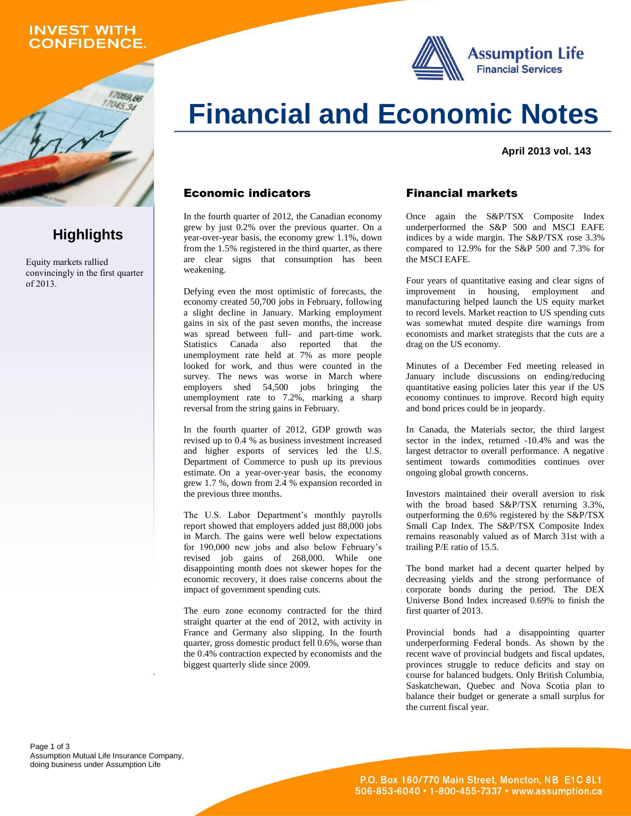### **INVEST WITH CONFIDENCE.**

059.66



# **Financial and Economic Notes**

**April 2013 vol. 143**

#### Economic indicators

In the fourth quarter of 2012, the Canadian economy grew by just 0.2% over the previous quarter. On a year-over-year basis, the economy grew 1.1%, down from the 1.5% registered in the third quarter, as there are clear signs that consumption has been weakening.

Defying even the most optimistic of forecasts, the economy created 50,700 jobs in February, following a slight decline in January. Marking employment gains in six of the past seven months, the increase was spread between full- and part-time work. Statistics Canada also reported that the unemployment rate held at  $7\%$  as more people looked for work, and thus were counted in the survey. The news was worse in March where employers shed 54,500 jobs bringing the unemployment rate to 7.2%, marking a sharp reversal from the string gains in February.

In the fourth quarter of 2012, GDP growth was revised up to 0.4 % as business investment increased and higher exports of services led the U.S. Department of Commerce to push up its previous estimate. On a year-over-year basis, the economy grew 1.7 %, down from 2.4 % expansion recorded in the previous three months.

The U.S. Labor Department's monthly payrolls report showed that employers added just 88,000 jobs in March. The gains were well below expectations for 190,000 new jobs and also below February's revised job gains of 268,000. While one disappointing month does not skewer hopes for the economic recovery, it does raise concerns about the impact of government spending cuts.

The euro zone economy contracted for the third straight quarter at the end of 2012, with activity in France and Germany also slipping. In the fourth quarter, gross domestic product fell 0.6%, worse than the 0.4% contraction expected by economists and the biggest quarterly slide since 2009.

### Financial markets

Once again the S&P/TSX Composite Index underperformed the S&P 500 and MSCI EAFE indices by a wide margin. The S&P/TSX rose 3.3% compared to 12.9% for the S&P 500 and 7.3% for the MSCI EAFE.

Four years of quantitative easing and clear signs of improvement in housing, employment and manufacturing helped launch the US equity market to record levels. Market reaction to US spending cuts was somewhat muted despite dire warnings from economists and market strategists that the cuts are a drag on the US economy.

Minutes of a December Fed meeting released in January include discussions on ending/reducing quantitative easing policies later this year if the US economy continues to improve. Record high equity and bond prices could be in jeopardy.

In Canada, the Materials sector, the third largest sector in the index, returned -10.4% and was the largest detractor to overall performance. A negative sentiment towards commodities continues over ongoing global growth concerns.

Investors maintained their overall aversion to risk with the broad based S&P/TSX returning 3.3%, outperforming the 0.6% registered by the S&P/TSX Small Cap Index. The S&P/TSX Composite Index remains reasonably valued as of March 31st with a trailing P/E ratio of 15.5.

The bond market had a decent quarter helped by decreasing yields and the strong performance of corporate bonds during the period. The DEX Universe Bond Index increased 0.69% to finish the first quarter of 2013.

Provincial bonds had a disappointing quarter underperforming Federal bonds. As shown by the recent wave of provincial budgets and fiscal updates, provinces struggle to reduce deficits and stay on course for balanced budgets. Only British Columbia, Saskatchewan, Quebec and Nova Scotia plan to balance their budget or generate a small surplus for the current fiscal year.

Page 1 of 3 Assumption Mutual Life Insurance Company, doing business under Assumption Life

## **Highlights**

Equity markets rallied convincingly in the first quarter of 2013.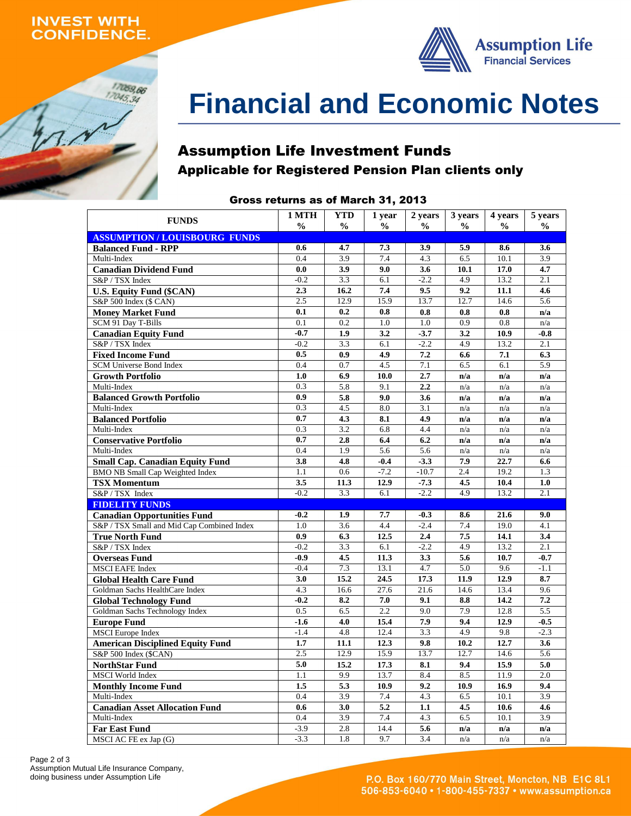### **INVEST WITH ONFIDENCE.**

17059,66  $17045,34$ 



# **Financial and Economic Notes**

### Assumption Life Investment Funds Applicable for Registered Pension Plan clients only

### Gross returns as of March 31, 2013

| <b>FUNDS</b>                                   | 1 MTH<br>$\frac{0}{0}$ | <b>YTD</b><br>$\frac{0}{0}$ | 1 year<br>$\frac{0}{0}$ | 2 years<br>$\frac{0}{0}$ | 3 years<br>$\frac{0}{0}$ | 4 years<br>$\frac{0}{0}$ | 5 years          |
|------------------------------------------------|------------------------|-----------------------------|-------------------------|--------------------------|--------------------------|--------------------------|------------------|
| <b>ASSUMPTION/LOUISBOURG FUNDS</b>             |                        |                             |                         |                          |                          |                          | $\frac{1}{2}$    |
| <b>Balanced Fund - RPP</b>                     | 0.6                    | 4.7                         | 7.3                     | 3.9                      | 5.9                      | 8.6                      | 3.6              |
| Multi-Index                                    | 0.4                    | 3.9                         | 7.4                     | 4.3                      | 6.5                      | 10.1                     | 3.9              |
| <b>Canadian Dividend Fund</b>                  | 0.0                    | 3.9                         | 9.0                     | 3.6                      | 10.1                     | 17.0                     | 4.7              |
| S&P / TSX Index                                | $-0.2$                 | 3.3                         | 6.1                     | $-2.2$                   | 4.9                      | 13.2                     | 2.1              |
| <b>U.S. Equity Fund (\$CAN)</b>                | 2.3                    | 16.2                        | 7.4                     | 9.5                      | 9.2                      | 11.1                     | 4.6              |
| S&P 500 Index (\$ CAN)                         | 2.5                    | 12.9                        | 15.9                    | 13.7                     | 12.7                     | 14.6                     | $\overline{5.6}$ |
| <b>Money Market Fund</b>                       | 0.1                    | 0.2                         | 0.8                     | 0.8                      | 0.8                      | 0.8                      | n/a              |
| SCM 91 Day T-Bills                             | $\overline{0.1}$       | $\overline{0.2}$            | $\overline{1.0}$        | $\overline{1.0}$         | $\overline{0.9}$         | $\overline{0.8}$         | n/a              |
| <b>Canadian Equity Fund</b>                    | $-0.7$                 | 1.9                         | 3.2                     | $-3.7$                   | 3.2                      | 10.9                     | $-0.8$           |
| S&P / TSX Index                                | $-0.2$                 | 3.3                         | 6.1                     | $-2.2$                   | 4.9                      | 13.2                     | $\overline{2.1}$ |
| <b>Fixed Income Fund</b>                       | 0.5                    | 0.9                         | 4.9                     | 7.2                      | 6.6                      | 7.1                      | 6.3              |
| SCM Universe Bond Index                        | 0.4                    | 0.7                         | 4.5                     | 7.1                      | 6.5                      | 6.1                      | 5.9              |
| <b>Growth Portfolio</b>                        | 1.0                    | 6.9                         | 10.0                    | 2.7                      | n/a                      | n/a                      | n/a              |
| Multi-Index                                    | 0.3                    | 5.8                         | 9.1                     | 2.2                      | n/a                      | n/a                      | n/a              |
| <b>Balanced Growth Portfolio</b>               | $\overline{0.9}$       | 5.8                         | 9.0                     | 3.6                      | n/a                      | n/a                      | n/a              |
| Multi-Index                                    | 0.3                    | 4.5                         | 8.0                     | 3.1                      | n/a                      | n/a                      | n/a              |
| <b>Balanced Portfolio</b>                      | 0.7                    | 4.3                         | 8.1                     | 4.9                      | n/a                      | n/a                      | n/a              |
| Multi-Index                                    | 0.3                    | 3.2                         | 6.8                     | 4.4                      | n/a                      | n/a                      | n/a              |
| <b>Conservative Portfolio</b>                  | 0.7                    | 2.8                         | 6.4                     | 6.2                      | n/a                      | n/a                      | n/a              |
| Multi-Index                                    | 0.4                    | 1.9                         | 5.6                     | 5.6                      | n/a                      | n/a                      | n/a              |
| <b>Small Cap. Canadian Equity Fund</b>         | 3.8                    | 4.8                         | $-0.4$                  | $-3.3$                   | 7.9                      | 22.7                     | 6.6              |
| <b>BMO NB Small Cap Weighted Index</b>         | 1.1                    | 0.6                         | $-7.2$                  | $-10.7$                  | 2.4                      | 19.2                     | 1.3              |
| <b>TSX Momentum</b>                            | 3.5                    | 11.3                        | 12.9                    | $-7.3$                   | 4.5                      | 10.4                     | 1.0              |
| S&P / TSX Index                                | $-0.2$                 | 3.3                         | 6.1                     | $-2.2$                   | 4.9                      | 13.2                     | 2.1              |
| <b>FIDELITY FUNDS</b>                          |                        |                             |                         |                          |                          |                          |                  |
| <b>Canadian Opportunities Fund</b>             | $-0.2$                 | 1.9                         | 7.7                     | $-0.3$                   | 8.6                      | 21.6                     | 9.0              |
| S&P / TSX Small and Mid Cap Combined Index     | 1.0                    | 3.6                         | 4.4                     | $-2.4$                   | 7.4                      | 19.0                     | 4.1              |
| <b>True North Fund</b><br>S&P / TSX Index      | 0.9<br>$-0.2$          | 6.3<br>3.3                  | 12.5<br>6.1             | 2.4<br>$-2.2$            | 7.5<br>4.9               | 14.1<br>13.2             | 3.4<br>2.1       |
|                                                | $-0.9$                 | 4.5                         | 11.3                    | 3.3                      | 5.6                      | 10.7                     | $-0.7$           |
| <b>Overseas Fund</b><br><b>MSCI EAFE Index</b> | $-0.4$                 | 7.3                         | 13.1                    | 4.7                      | 5.0                      | 9.6                      | $-1.1$           |
| <b>Global Health Care Fund</b>                 | 3.0                    | 15.2                        | 24.5                    | 17.3                     | 11.9                     | 12.9                     | 8.7              |
| Goldman Sachs HealthCare Index                 | 4.3                    | 16.6                        | 27.6                    | 21.6                     | 14.6                     | 13.4                     | 9.6              |
| <b>Global Technology Fund</b>                  | $-0.2$                 | 8.2                         | 7.0                     | 9.1                      | 8.8                      | 14.2                     | 7.2              |
| Goldman Sachs Technology Index                 | 0.5                    | 6.5                         | 2.2                     | 9.0                      | 7.9                      | 12.8                     | 5.5              |
| <b>Europe Fund</b>                             | $-1.6$                 | 4.0                         | 15.4                    | 7.9                      | 9.4                      | 12.9                     | $-0.5$           |
| <b>MSCI</b> Europe Index                       | $-1.4$                 | $\overline{4.8}$            | 12.4                    | 3.3                      | 4.9                      | 9.8                      | $-2.3$           |
| <b>American Disciplined Equity Fund</b>        | 1.7                    | 11.1                        | 12.3                    | 9.8                      | 10.2                     | 12.7                     | 3.6              |
| S&P 500 Index (\$CAN)                          | 2.5                    | 12.9                        | 15.9                    | 13.7                     | 12.7                     | 14.6                     | $\overline{5.6}$ |
| <b>NorthStar Fund</b>                          | 5.0                    | 15.2                        | 17.3                    | 8.1                      | 9.4                      | 15.9                     | 5.0              |
| <b>MSCI</b> World Index                        | 1.1                    | 9.9                         | 13.7                    | 8.4                      | 8.5                      | 11.9                     | 2.0              |
| <b>Monthly Income Fund</b>                     | 1.5                    | 5.3                         | 10.9                    | 9.2                      | 10.9                     | 16.9                     | 9.4              |
| Multi-Index                                    | 0.4                    | 3.9                         | 7.4                     | 4.3                      | 6.5                      | 10.1                     | 3.9              |
| <b>Canadian Asset Allocation Fund</b>          | 0.6                    | 3.0                         | 5.2                     | 1.1                      | 4.5                      | 10.6                     | 4.6              |
| Multi-Index                                    | 0.4                    | 3.9                         | 7.4                     | 4.3                      | 6.5                      | 10.1                     | 3.9              |
| <b>Far East Fund</b>                           | $-3.9$                 | 2.8                         | 14.4                    | 5.6                      | n/a                      | n/a                      | n/a              |
| MSCI AC FE ex Jap (G)                          | $-3.3$                 | 1.8                         | 9.7                     | 3.4                      | n/a                      | n/a                      | n/a              |